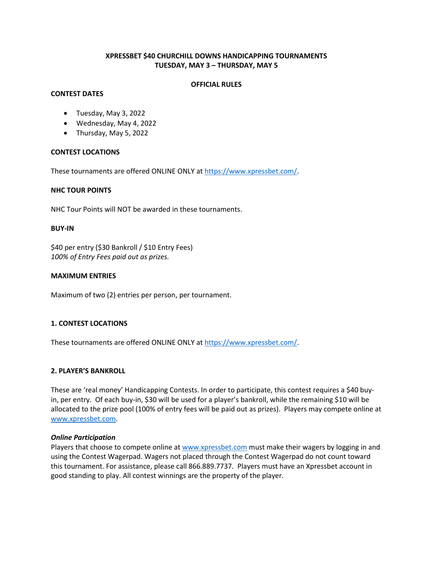# **XPRESSBET \$40 CHURCHILL DOWNS HANDICAPPING TOURNAMENTS TUESDAY, MAY 3 – THURSDAY, MAY 5**

### **OFFICIAL RULES**

## **CONTEST DATES**

## Tuesday, May 3, 2022

- Wednesday, May 4, 2022
- Thursday, May 5, 2022

### **CONTEST LOCATIONS**

These tournaments are offered ONLINE ONLY at [https://www.xpressbet.com/.](https://www.xpressbet.com/)

### **NHC TOUR POINTS**

NHC Tour Points will NOT be awarded in these tournaments.

### **BUY-IN**

\$40 per entry (\$30 Bankroll / \$10 Entry Fees) *100% of Entry Fees paid out as prizes.* 

### **MAXIMUM ENTRIES**

Maximum of two (2) entries per person, per tournament.

## **1. CONTEST LOCATIONS**

These tournaments are offered ONLINE ONLY at [https://www.xpressbet.com/.](https://www.xpressbet.com/)

### **2. PLAYER'S BANKROLL**

These are 'real money' Handicapping Contests. In order to participate, this contest requires a \$40 buyin, per entry. Of each buy-in, \$30 will be used for a player's bankroll, while the remaining \$10 will be allocated to the prize pool (100% of entry fees will be paid out as prizes). Players may compete online at [www.xpressbet.com.](http://www.xpressbet.com/)

### *Online Participation*

Players that choose to compete online a[t www.xpressbet.com](http://www.xpressbet.com/) must make their wagers by logging in and using the Contest Wagerpad. Wagers not placed through the Contest Wagerpad do not count toward this tournament. For assistance, please call 866.889.7737. Players must have an Xpressbet account in good standing to play. All contest winnings are the property of the player.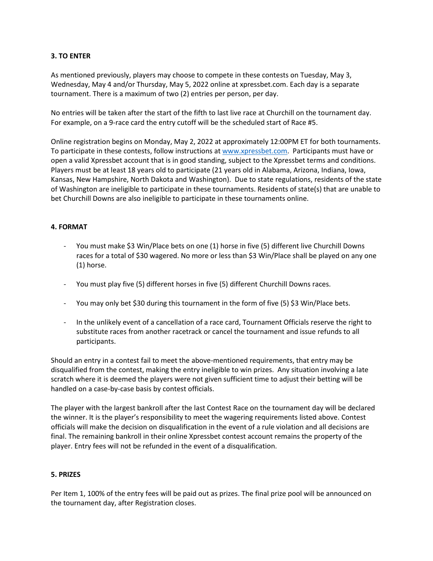# **3. TO ENTER**

As mentioned previously, players may choose to compete in these contests on Tuesday, May 3, Wednesday, May 4 and/or Thursday, May 5, 2022 online at xpressbet.com. Each day is a separate tournament. There is a maximum of two (2) entries per person, per day.

No entries will be taken after the start of the fifth to last live race at Churchill on the tournament day. For example, on a 9-race card the entry cutoff will be the scheduled start of Race #5.

Online registration begins on Monday, May 2, 2022 at approximately 12:00PM ET for both tournaments. To participate in these contests, follow instructions a[t www.xpressbet.com.](http://www.xpressbet.com/) Participants must have or open a valid Xpressbet account that is in good standing, subject to the Xpressbet terms and conditions. Players must be at least 18 years old to participate (21 years old in Alabama, Arizona, Indiana, Iowa, Kansas, New Hampshire, North Dakota and Washington). Due to state regulations, residents of the state of Washington are ineligible to participate in these tournaments. Residents of state(s) that are unable to bet Churchill Downs are also ineligible to participate in these tournaments online.

## **4. FORMAT**

- You must make \$3 Win/Place bets on one (1) horse in five (5) different live Churchill Downs races for a total of \$30 wagered. No more or less than \$3 Win/Place shall be played on any one (1) horse.
- You must play five (5) different horses in five (5) different Churchill Downs races.
- You may only bet \$30 during this tournament in the form of five (5) \$3 Win/Place bets.
- In the unlikely event of a cancellation of a race card, Tournament Officials reserve the right to substitute races from another racetrack or cancel the tournament and issue refunds to all participants.

Should an entry in a contest fail to meet the above-mentioned requirements, that entry may be disqualified from the contest, making the entry ineligible to win prizes. Any situation involving a late scratch where it is deemed the players were not given sufficient time to adjust their betting will be handled on a case-by-case basis by contest officials.

The player with the largest bankroll after the last Contest Race on the tournament day will be declared the winner. It is the player's responsibility to meet the wagering requirements listed above. Contest officials will make the decision on disqualification in the event of a rule violation and all decisions are final. The remaining bankroll in their online Xpressbet contest account remains the property of the player. Entry fees will not be refunded in the event of a disqualification.

## **5. PRIZES**

Per Item 1, 100% of the entry fees will be paid out as prizes. The final prize pool will be announced on the tournament day, after Registration closes.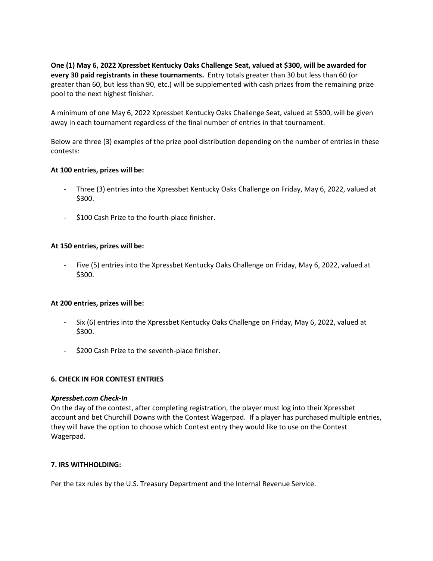**One (1) May 6, 2022 Xpressbet Kentucky Oaks Challenge Seat, valued at \$300, will be awarded for every 30 paid registrants in these tournaments.** Entry totals greater than 30 but less than 60 (or greater than 60, but less than 90, etc.) will be supplemented with cash prizes from the remaining prize pool to the next highest finisher.

A minimum of one May 6, 2022 Xpressbet Kentucky Oaks Challenge Seat, valued at \$300, will be given away in each tournament regardless of the final number of entries in that tournament.

Below are three (3) examples of the prize pool distribution depending on the number of entries in these contests:

## **At 100 entries, prizes will be:**

- Three (3) entries into the Xpressbet Kentucky Oaks Challenge on Friday, May 6, 2022, valued at \$300.
- \$100 Cash Prize to the fourth-place finisher.

### **At 150 entries, prizes will be:**

Five (5) entries into the Xpressbet Kentucky Oaks Challenge on Friday, May 6, 2022, valued at \$300.

### **At 200 entries, prizes will be:**

- Six (6) entries into the Xpressbet Kentucky Oaks Challenge on Friday, May 6, 2022, valued at \$300.
- \$200 Cash Prize to the seventh-place finisher.

## **6. CHECK IN FOR CONTEST ENTRIES**

### *Xpressbet.com Check-In*

On the day of the contest, after completing registration, the player must log into their Xpressbet account and bet Churchill Downs with the Contest Wagerpad. If a player has purchased multiple entries, they will have the option to choose which Contest entry they would like to use on the Contest Wagerpad.

### **7. IRS WITHHOLDING:**

Per the tax rules by the U.S. Treasury Department and the Internal Revenue Service.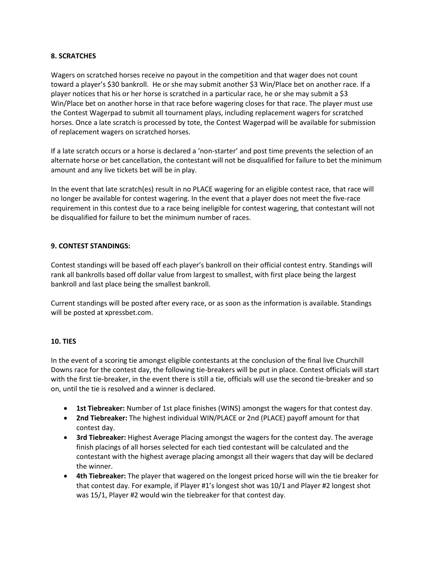## **8. SCRATCHES**

Wagers on scratched horses receive no payout in the competition and that wager does not count toward a player's \$30 bankroll. He or she may submit another \$3 Win/Place bet on another race. If a player notices that his or her horse is scratched in a particular race, he or she may submit a \$3 Win/Place bet on another horse in that race before wagering closes for that race. The player must use the Contest Wagerpad to submit all tournament plays, including replacement wagers for scratched horses. Once a late scratch is processed by tote, the Contest Wagerpad will be available for submission of replacement wagers on scratched horses.

If a late scratch occurs or a horse is declared a 'non-starter' and post time prevents the selection of an alternate horse or bet cancellation, the contestant will not be disqualified for failure to bet the minimum amount and any live tickets bet will be in play.

In the event that late scratch(es) result in no PLACE wagering for an eligible contest race, that race will no longer be available for contest wagering. In the event that a player does not meet the five-race requirement in this contest due to a race being ineligible for contest wagering, that contestant will not be disqualified for failure to bet the minimum number of races.

# **9. CONTEST STANDINGS:**

Contest standings will be based off each player's bankroll on their official contest entry. Standings will rank all bankrolls based off dollar value from largest to smallest, with first place being the largest bankroll and last place being the smallest bankroll.

Current standings will be posted after every race, or as soon as the information is available. Standings will be posted at xpressbet.com.

## **10. TIES**

In the event of a scoring tie amongst eligible contestants at the conclusion of the final live Churchill Downs race for the contest day, the following tie-breakers will be put in place. Contest officials will start with the first tie-breaker, in the event there is still a tie, officials will use the second tie-breaker and so on, until the tie is resolved and a winner is declared.

- **1st Tiebreaker:** Number of 1st place finishes (WINS) amongst the wagers for that contest day.
- **2nd Tiebreaker:** The highest individual WIN/PLACE or 2nd (PLACE) payoff amount for that contest day.
- **3rd Tiebreaker:** Highest Average Placing amongst the wagers for the contest day. The average finish placings of all horses selected for each tied contestant will be calculated and the contestant with the highest average placing amongst all their wagers that day will be declared the winner.
- **4th Tiebreaker:** The player that wagered on the longest priced horse will win the tie breaker for that contest day. For example, if Player #1's longest shot was 10/1 and Player #2 longest shot was 15/1, Player #2 would win the tiebreaker for that contest day.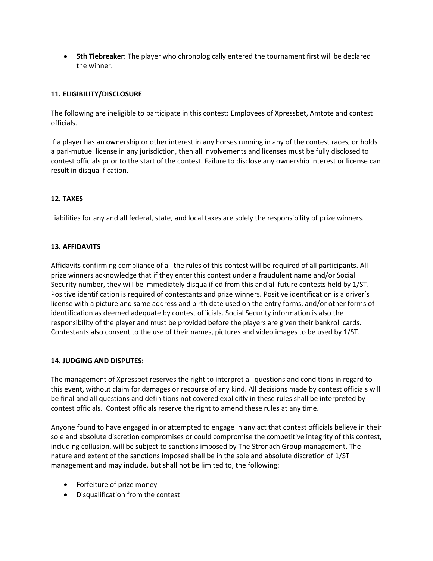**5th Tiebreaker:** The player who chronologically entered the tournament first will be declared the winner.

# **11. ELIGIBILITY/DISCLOSURE**

The following are ineligible to participate in this contest: Employees of Xpressbet, Amtote and contest officials.

If a player has an ownership or other interest in any horses running in any of the contest races, or holds a pari-mutuel license in any jurisdiction, then all involvements and licenses must be fully disclosed to contest officials prior to the start of the contest. Failure to disclose any ownership interest or license can result in disqualification.

# **12. TAXES**

Liabilities for any and all federal, state, and local taxes are solely the responsibility of prize winners.

## **13. AFFIDAVITS**

Affidavits confirming compliance of all the rules of this contest will be required of all participants. All prize winners acknowledge that if they enter this contest under a fraudulent name and/or Social Security number, they will be immediately disqualified from this and all future contests held by 1/ST. Positive identification is required of contestants and prize winners. Positive identification is a driver's license with a picture and same address and birth date used on the entry forms, and/or other forms of identification as deemed adequate by contest officials. Social Security information is also the responsibility of the player and must be provided before the players are given their bankroll cards. Contestants also consent to the use of their names, pictures and video images to be used by 1/ST.

## **14. JUDGING AND DISPUTES:**

The management of Xpressbet reserves the right to interpret all questions and conditions in regard to this event, without claim for damages or recourse of any kind. All decisions made by contest officials will be final and all questions and definitions not covered explicitly in these rules shall be interpreted by contest officials. Contest officials reserve the right to amend these rules at any time.

Anyone found to have engaged in or attempted to engage in any act that contest officials believe in their sole and absolute discretion compromises or could compromise the competitive integrity of this contest, including collusion, will be subject to sanctions imposed by The Stronach Group management. The nature and extent of the sanctions imposed shall be in the sole and absolute discretion of 1/ST management and may include, but shall not be limited to, the following:

- Forfeiture of prize money
- Disqualification from the contest